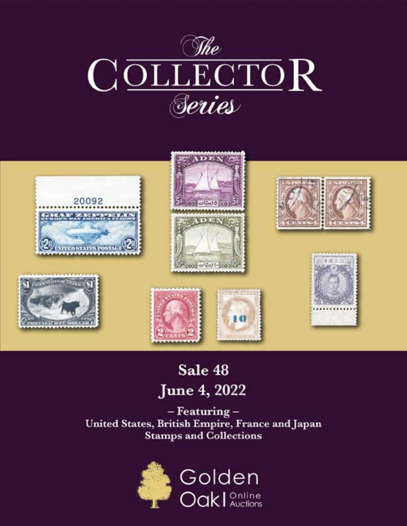



# Sale 48 **June 4, 2022**

- Featuring -United States, British Empire, France and Japan **Stamps and Collections** 

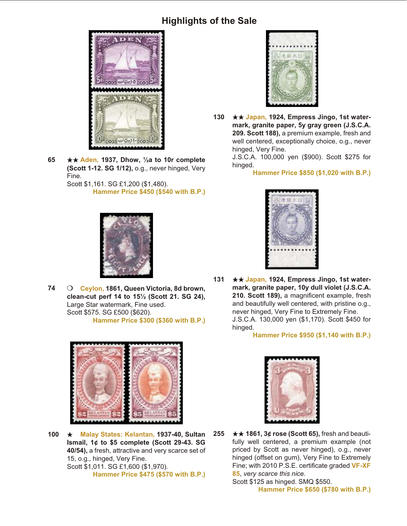

**65** ★★ Aden, 1937, Dhow, ½a to 10r complete **(Scott 1-12. SG 1/12),** o.g., never hinged, Very Fine.

Scott \$1,161. SG £1,200 (\$1,480). **Hammer Price \$450 (\$540 with B.P.)**



74 **O** Ceylon, 1861, Queen Victoria, 8d brown, **clean-cut perf 14 to 15½ (Scott 21. SG 24),** Large Star watermark, Fine used. Scott \$575. SG £500 (\$620). **Hammer Price \$300 (\$360 with B.P.)**



**100 ★ Malay States: Kelantan, 1937-40, Sultan Ismail, 1¢ to \$5 complete (Scott 29-43. SG** 40/54), a fresh, attractive and very scarce set of 15, o.g., hinged, Very Fine. Scott \$1,011. SG £1,600 (\$1,970). **Hammer Price \$475 (\$570 with B.P.)**



**130** ★★ Japan, 1924, Empress Jingo, 1st watermark, granite paper, 5y gray green (J.S.C.A. 209. Scott 188), a premium example, fresh and well centered, exceptionally choice, o.g., never hinged, Very Fine.

> J.S.C.A. 100,000 yen (\$900). Scott \$275 for hinged.

> > **Hammer Price \$850 (\$1,020 with B.P.)**



**131** ★★ Japan, 1924, Empress Jingo, 1st watermark, granite paper, 10y dull violet (J.S.C.A. 210. Scott 189), a magnificent example, fresh and beautifully well centered, with pristine o.g., never hinged, Very Fine to Extremely Fine. J.S.C.A. 130,000 yen (\$1,170). Scott \$450 for hinged.

**Hammer Price \$950 (\$1,140 with B.P.)**



**255** ★★ 1861, 3¢ rose (Scott 65), fresh and beautifully well centered, a premium example (not priced by Scott as never hinged), o.g., never hinged (offset on gum), Very Fine to Extremely Fine; with 2010 P.S.E. certificate graded VF-XF **85**, *very scarce this nice.*  Scott \$125 as hinged. SMQ \$550.

**Hammer Price \$650 (\$780 with B.P.)**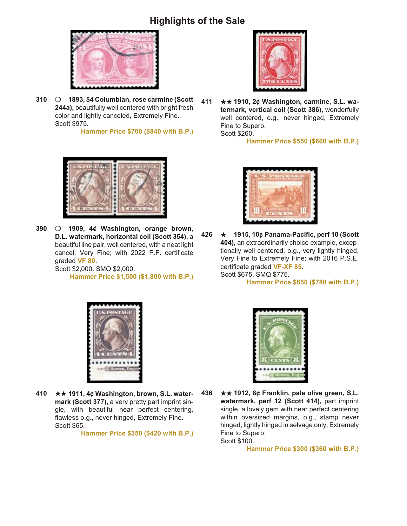

310 O 1893, \$4 Columbian, rose carmine (Scott 244a), beautifully well centered with bright fresh color and lightly canceled, Extremely Fine. Scott \$975.

**Hammer Price \$700 (\$840 with B.P.)**



390 **O** 1909, 4¢ Washington, orange brown, **D.L. watermark, horizontal coil (Scott 354), a** beautiful line pair, well centered, with a neat light cancel, Very Fine; with 2022 P.F. certificate graded **VF 80**. Scott \$2,000. SMQ \$2,000.

**Hammer Price \$1,500 (\$1,800 with B.P.)**



**411** ★★ 1910, 2¢ Washington, carmine, S.L. watermark, vertical coil (Scott 386), wonderfully well centered, o.g., never hinged, Extremely Fine to Superb.

Scott \$260.

**Hammer Price \$550 (\$660 with B.P.)**



**426 ★ 1915, 10¢ Panama-Pacific, perf 10 (Scott** 404), an extraordinarily choice example, exceptionally well centered, o.g., very lightly hinged, Very Fine to Extremely Fine; with 2016 P.S.E. certificate graded VF-XF 85. Scott \$675. SMQ \$775.

**Hammer Price \$650 (\$780 with B.P.)**



**410** ★★ 1911, 4¢ Washington, brown, S.L. watermark (Scott 377), a very pretty part imprint single, with beautiful near perfect centering, flawless o.g., never hinged, Extremely Fine. Scott \$65.

**Hammer Price \$350 (\$420 with B.P.)**



**436** ★★ 1912, 8¢ Franklin, pale olive green, S.L. watermark, perf 12 (Scott 414), part imprint single, a lovely gem with near perfect centering within oversized margins, o.g., stamp never hinged, lightly hinged in selvage only, Extremely Fine to Superb. Scott \$100.

**Hammer Price \$300 (\$360 with B.P.)**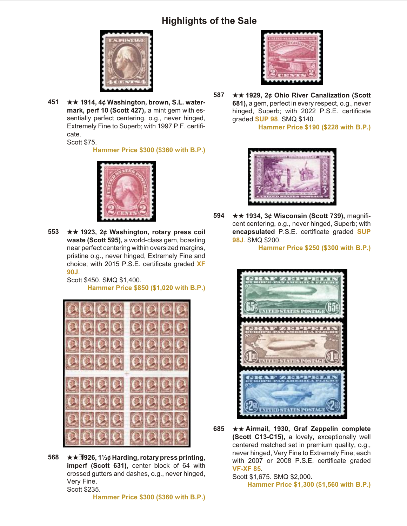

**451 ★★ 1914, 4¢ Washington, brown, S.L. water**mark, perf 10 (Scott 427), a mint gem with essentially perfect centering, o.g., never hinged, Extremely Fine to Superb; with 1997 P.F. certificate.

Scott \$75.

**Hammer Price \$300 (\$360 with B.P.)**



**553** ★★ 1923, 2¢ Washington, rotary press coil waste (Scott 595), a world-class gem, boasting near perfect centering within oversized margins, pristine o.g., never hinged, Extremely Fine and choice; with 2015 P.S.E. certificate graded **XF 90J**.

> Scott \$450. SMQ \$1,400. **Hammer Price \$850 (\$1,020 with B.P.)**



**568**  $\star\star\text{H}926, 1\frac{1}{2}$ ¢ Harding, rotary press printing, imperf (Scott 631), center block of 64 with crossed gutters and dashes, o.g., never hinged, Very Fine. Scott \$235.

**Hammer Price \$300 (\$360 with B.P.)**



**587** ★★ 1929, 2¢ Ohio River Canalization (Scott **681), a gem, perfect in every respect, o.g., never** hinged, Superb; with 2022 P.S.E. certificate graded **SUP 98**. SMQ \$140.

**Hammer Price \$190 (\$228 with B.P.)**



**594 ★★ 1934, 3¢ Wisconsin (Scott 739), magnifi**cent centering, o.g., never hinged, Superb; with **encapsulated** P.S.E. certificate graded **SUP 98J**. SMQ \$200.

**Hammer Price \$250 (\$300 with B.P.)**



**685** ★★ Airmail, 1930, Graf Zeppelin complete **(Scott C13-C15), a lovely, exceptionally well** centered matched set in premium quality, o.g., never hinged, Very Fine to Extremely Fine; each with 2007 or 2008 P.S.E. certificate graded **VF-XF 85**.

Scott \$1,675. SMQ \$2,000. **Hammer Price \$1,300 (\$1,560 with B.P.)**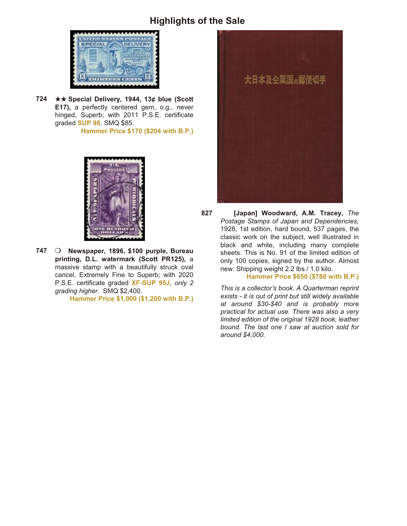

724 **★★ Special Delivery, 1944, 13¢ blue (Scott E17),** a perfectly centered gem, o.g., never hinged, Superb; with 2011 P.S.E. certificate graded **SUP 98**. SMQ \$85.

**Hammer Price \$170 (\$204 with B.P.)**



**747** O Newspaper, 1896, \$100 purple, Bureau **print ing, D.L. wa ter mark (Scott PR125),** a massive stamp with a beautifully struck oval cancel, Extremely Fine to Superb; with 2020 P.S.E. certificate graded **XF-SUP 95J**, only 2 *grad ing higher.* SMQ \$2,400.

**Hammer Price \$1,000 (\$1,200 with B.P.)**



827 **[Japan] Woodward, A.M. Tracey, The Postage Stamps of Japan and Dependencies,** 1928, 1st edition, hard bound, 537 pages, the classic work on the subject, well illustrated in black and white, including many complete sheets. This is No. 91 of the limited edition of only 100 copies, signed by the author. Almost new. Shipping weight 2.2 lbs / 1.0 kilo.

**Hammer Price \$650 (\$780 with B.P.)**

*This is a collector's book. A Quarterman reprint exists - it is out of print but still widely available at around \$30-\$40 and is probably more practical for actual use. There was also a very limited edition of the original 1928 book, leather bound. The last one I saw at auction sold for around \$4,000.*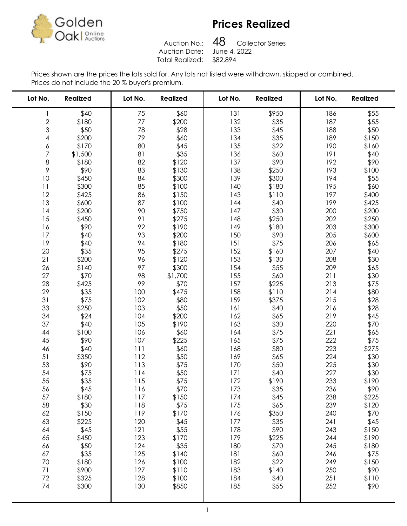

Auction No.: Auction Date: Total Realized: \$82,894

48 Collector Series<br>June 4, 2022 

| Lot No.       | <b>Realized</b> | Lot No. | <b>Realized</b> | Lot No. | <b>Realized</b> | Lot No. | <b>Realized</b> |
|---------------|-----------------|---------|-----------------|---------|-----------------|---------|-----------------|
| 1             | \$40            | 75      | \$60            | 131     | \$950           | 186     | \$55            |
|               | \$180           | 77      | \$200           | 132     | \$35            | 187     | \$55            |
| $\frac{2}{3}$ | \$50            | 78      | \$28            | 133     | \$45            | 188     | \$50            |
| 4             | \$200           | 79      | \$60            | 134     | \$35            | 189     | \$150           |
| 6             | \$170           | 80      | \$45            | 135     | \$22            | 190     | \$160           |
| 7             | \$1,500         | 81      | \$35            | 136     | \$60            | 191     | \$40            |
| 8             | \$180           | 82      | \$120           | 137     | \$90            | 192     | \$90            |
| 9             | \$90            | 83      | \$130           | 138     | \$250           | 193     | \$100           |
| $10$          | \$450           | 84      | \$300           | 139     | \$300           | 194     | \$55            |
| 11            | \$300           | 85      | \$100           | 140     | \$180           | 195     | \$60            |
| 12            | \$425           | 86      | \$150           | 143     | \$110           | 197     | \$400           |
| 13            | \$600           | 87      | \$100           | 144     | \$40            | 199     | \$425           |
| 14            | \$200           | 90      | \$750           | 147     | \$30            | 200     | \$200           |
| 15            | \$450           | 91      | \$275           | 148     | \$250           | 202     | \$250           |
| 16            | \$90            | 92      | \$190           | 149     | \$180           | 203     | \$300           |
| 17            | \$40            | 93      | \$200           | 150     | \$90            | 205     | \$600           |
| 19            | \$40            | 94      | \$180           | 151     | \$75            | 206     | \$65            |
| 20            | \$35            | 95      | \$275           | 152     | \$160           | 207     | \$40            |
| 21            | \$200           | 96      | \$120           | 153     | \$130           | 208     | \$30            |
| 26            | \$140           | 97      | \$300           | 154     | \$55            | 209     | \$65            |
| 27            | \$70            | 98      | \$1,700         | 155     | \$60            | 211     | \$30            |
| 28            | \$425           | 99      | \$70            | 157     | \$225           | 213     | \$75            |
| 29            | \$35            | 100     | \$475           | 158     | \$110           | 214     | \$80            |
| 31            | \$75            | 102     | \$80            | 159     | \$375           | 215     | \$28            |
| 33            | \$250           | 103     | \$50            | 161     | \$40            | 216     | \$28            |
| 34            | \$24            | 104     | \$200           | 162     | \$65            | 219     | \$45            |
| 37            | \$40            | 105     | \$190           | 163     | \$30            | 220     | \$70            |
| 44            | \$100           | 106     | \$60            | 164     | \$75            | 221     | \$65            |
| 45            | \$90            | 107     | \$225           | 165     | \$75            | 222     | \$75            |
| 46            | \$40            | 111     | \$60            | 168     | \$80            | 223     | \$275           |
| 51            | \$350           | 112     | \$50            | 169     | \$65            | 224     | \$30            |
| 53            | \$90            | 113     | \$75            | 170     | \$50            | 225     | \$30            |
| 54            | \$75            | 114     | \$50            | 171     | \$40            | 227     | \$30            |
| 55            | \$35            | 115     | \$75            | 172     | \$190           | 233     | \$190           |
| 56            | \$45            | 116     | \$70            | 173     | \$35            | 236     | \$90            |
| 57            | \$180           | 117     | \$150           | 174     | \$45            | 238     | \$225           |
| 58            | \$30            | 118     | \$75            | 175     | \$65            | 239     | \$120           |
| 62            | \$150           | 119     | \$170           | 176     | \$350           | 240     | \$70            |
| 63            | \$225           | 120     | \$45            | 177     | \$35            | 241     | \$45            |
| 64            | \$45            | 121     | \$55            | 178     | \$90            | 243     | \$150           |
| 65            | \$450           | 123     | \$170           | 179     | \$225           | 244     | \$190           |
| 66            | \$50            | 124     | \$35            | 180     | \$70            | 245     | \$180           |
| 67            | \$35            | 125     | \$140           | 181     | \$60            | 246     | \$75            |
| 70            | \$180           | 126     | \$100           | 182     | \$22            | 249     | \$150           |
| 71            | \$900           | 127     | \$110           | 183     | \$140           | 250     | \$90            |
| 72            | \$325           | 128     | \$100           | 184     | \$40            | 251     | \$110           |
| 74            | \$300           | 130     | \$850           | 185     | \$55            | 252     | \$90            |
|               |                 |         |                 |         |                 |         |                 |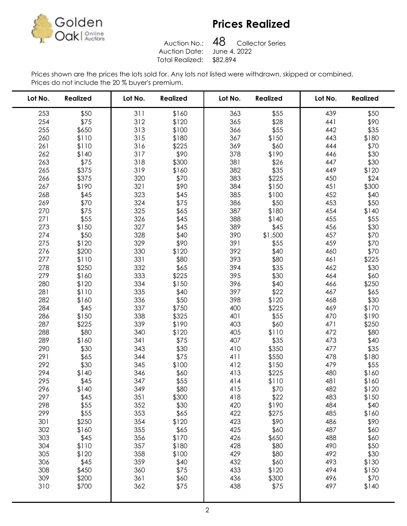

Auction No.: Auction Date: Total Realized: \$82,894

48 Collector Series<br>June 4, 2022 

| Lot No.    | <b>Realized</b> | Lot No.    | <b>Realized</b> | Lot No.    | <b>Realized</b> | Lot No.    | <b>Realized</b> |
|------------|-----------------|------------|-----------------|------------|-----------------|------------|-----------------|
| 253        | \$50            | 311        | \$160           | 363        | \$55            | 439        | \$50            |
| 254        | \$75            | 312        | \$120           | 365        | \$28            | 441        | \$90            |
| 255        | \$650           | 313        | \$100           | 366        | \$55            | 442        | \$35            |
| 260        | \$110           | 315        | \$180           | 367        | \$150           | 443        | \$180           |
| 261        | \$110           | 316        | \$225           | 369        | \$60            | 444        | \$70            |
| 262        | \$140           | 317        | \$90            | 378        | \$190           | 446        | \$30            |
| 263        | \$75            | 318        | \$300           | 381        | \$26            | 447        | \$30            |
| 265        | \$375           | 319        | \$160           | 382        | \$35            | 449        | \$120           |
| 266        | \$375           | 320        | \$70            | 383        | \$225           | 450        | \$24            |
| 267        | \$190           | 321        | \$90            | 384        | \$150           | 451        | \$300           |
| 268        | \$45            | 323        | \$45            | 385        | \$100           | 452        | \$40            |
| 269        | \$70            | 324        | \$75            | 386        | \$50            | 453        | \$50            |
| 270        | \$75            | 325        | \$65            | 387        | \$180           | 454        | \$140           |
| 271        | \$55            | 326        | \$45            | 388        | \$140           | 455        | \$55            |
| 273        | \$150           | 327        | \$45            | 389        | \$45            | 456        | \$30            |
| 274        | \$50            | 328        | \$40            | 390        | \$1,500         | 457        | \$70            |
| 275        | \$120           | 329        | \$90            | 391        | \$55            | 459        | \$70            |
| 276        | \$200           | 330        | \$120           | 392        | \$40            | 460        | \$70            |
| 277        | \$110           | 331        | \$80            | 393        | \$80            | 461        | \$225           |
| 278        | \$250           | 332        | \$65            | 394        | \$35            | 462        | \$30            |
| 279        | \$160           | 333        | \$225           | 395        | \$30            | 464        | \$60            |
| 280        | \$120           | 334        | \$150           | 396        | \$40            | 466        | \$250           |
| 281        | \$110           | 335        | \$40            | 397        | \$22            | 467        | \$65            |
| 282        | \$160           | 336        | \$50            | 398        | \$120           | 468        | \$30            |
| 284        | \$45            | 337        | \$750           | 400        | \$225           | 469        | \$170           |
| 286        | \$150           | 338        | \$325           | 401        | \$55            | 470        | \$190           |
| 287        | \$225           | 339        | \$190           | 403        | \$60            | 471        | \$250           |
| 288        | \$80            | 340        | \$120           | 405        | \$110           | 472        | \$80            |
| 289        | \$160           | 341        | \$75            | 407        | \$35            | 473        | \$40            |
| 290        | \$30            | 343        | \$30            | 410        | \$350           | 477        | \$35            |
| 291        | \$65            | 344        | \$75            | 411        | \$550           | 478        | \$180           |
| 292<br>294 | \$30            | 345        | \$100           | 412        | \$150           | 479        | \$55            |
| 295        | \$140<br>\$45   | 346<br>347 | \$60<br>\$55    | 413<br>414 | \$225<br>\$110  | 480<br>481 | \$160<br>\$160  |
| 296        | \$140           | 349        | \$80            | 415        | \$70            | 482        | \$120           |
| 297        | \$45            | 351        | \$300           | 418        | \$22            | 483        | \$150           |
| 298        | \$55            | 352        | \$30            | 420        | \$190           | 484        | \$40            |
| 299        | \$55            | 353        | \$65            | 422        | \$275           | 485        | \$160           |
| 301        | \$250           | 354        | \$120           | 423        | \$90            | 486        | \$90            |
| 302        | \$160           | 355        | \$65            | 425        | \$60            | 487        | \$60            |
| 303        | \$45            | 356        | \$170           | 426        | \$650           | 488        | \$60            |
| 304        | \$110           | 357        | \$180           | 428        | \$80            | 490        | \$50            |
| 305        | \$120           | 358        | \$100           | 429        | \$80            | 492        | \$30            |
| 306        | \$45            | 359        | \$40            | 432        | \$60            | 493        | \$130           |
| 308        | \$450           | 360        | \$75            | 433        | \$120           | 494        | \$150           |
| 309        | \$200           | 361        | \$60            | 436        | \$300           | 496        | \$70            |
| 310        | \$700           | 362        | \$75            | 438        | \$75            | 497        | \$140           |
|            |                 |            |                 |            |                 |            |                 |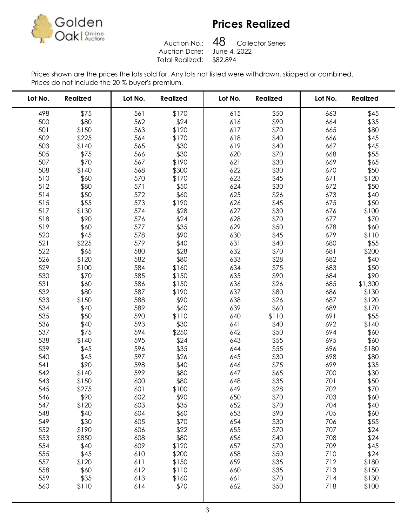

Auction No.: Auction Date: Total Realized: \$82,894

48 Collector Series<br>June 4, 2022 

| Lot No.    | <b>Realized</b> | Lot No. | <b>Realized</b> | Lot No.    | <b>Realized</b> | Lot No. | <b>Realized</b> |
|------------|-----------------|---------|-----------------|------------|-----------------|---------|-----------------|
| 498        | \$75            | 561     | \$170           | 615        | \$50            | 663     | \$45            |
| 500        | \$80            | 562     | \$24            | 616        | \$90            | 664     | \$35            |
| 501        | \$150           | 563     | \$120           | 617        | \$70            | 665     | \$80            |
| 502        | \$225           | 564     | \$170           | 618        | \$40            | 666     | \$45            |
| 503        | \$140           | 565     | \$30            | 619        | \$40            | 667     | \$45            |
| 505        | \$75            | 566     | \$30            | 620        | \$70            | 668     | \$55            |
| 507        | \$70            | 567     | \$190           | 621        | \$30            | 669     | \$65            |
| 508        | \$140           | 568     | \$300           | 622        | \$30            | 670     | \$50            |
| 510        | \$60            | 570     | \$170           | 623        | \$45            | 671     | \$120           |
| 512        | \$80            | 571     | \$50            | 624        | \$30            | 672     | \$50            |
| 514        | \$50            | 572     | \$60            | 625        | \$26            | 673     | \$40            |
| 515        | \$55            | 573     | \$190           | 626        | \$45            | 675     | \$50            |
| 517        | \$130           | 574     | \$28            | 627        | \$30            | 676     | \$100           |
| 518        | \$90            | 576     | \$24            | 628        | \$70            | 677     | \$70            |
| 519        | \$60            | 577     | \$35            | 629        | \$50            | 678     | \$60            |
| 520        | \$45            | 578     | \$90            | 630        | \$45            | 679     | \$110           |
| 521        | \$225           | 579     | \$40            | 631        | \$40            | 680     | \$55            |
| 522        | \$65            | 580     | \$28            | 632        | \$70            | 681     | \$200           |
| 526        | \$120           | 582     | \$80            | 633        | \$28            | 682     | \$40            |
| 529        | \$100           | 584     | \$160           | 634        | \$75            | 683     | \$50            |
| 530        | \$70            | 585     | \$150           | 635        | \$90            | 684     | \$90            |
| 531        | \$60            | 586     | \$150           | 636        | \$26            | 685     | \$1,300         |
| 532        | \$80            | 587     | \$190           | 637        | \$80            | 686     | \$130           |
| 533        | \$150           | 588     | \$90            | 638        | \$26            | 687     | \$120           |
| 534        | \$40            | 589     | \$60            | 639        | \$60            | 689     | \$170           |
| 535        | \$50            | 590     | \$110           | 640        | \$110           | 691     | \$55            |
| 536        | \$40            | 593     | \$30            | 641        | \$40            | 692     | \$140           |
| 537        | \$75            | 594     | \$250           | 642        | \$50            | 694     | \$60            |
| 538        | \$140           | 595     | \$24            | 643        | \$55            | 695     | \$60            |
| 539        | \$45            | 596     | \$35            | 644        | \$55            | 696     | \$180           |
| 540        | \$45            | 597     | \$26            | 645        | \$30            | 698     | \$80            |
| 541        | \$90            | 598     | \$40            | 646        | \$75            | 699     | \$35            |
| 542        | \$140           | 599     | \$80            | 647        | \$65            | 700     | \$30            |
| 543        | \$150           | 600     | \$80            | 648        | \$35            | 701     | \$50            |
| 545        | \$275           | 601     | \$100           | 649        | \$28            | 702     | \$70            |
| 546        | \$90            | 602     | \$90            | 650        | \$70            | 703     | \$60            |
| 547        | \$120           | 603     | \$35            | 652        | \$70            | 704     | \$40            |
| 548        | \$40            | 604     | \$60            | 653        | \$90            | 705     | \$60            |
| 549        | \$30            | 605     | \$70            | 654        | \$30            | 706     | \$55            |
| 552        | \$190           | 606     | \$22            | 655        | \$70            | 707     | \$24            |
| 553        | \$850           | 608     | \$80            | 656        | \$40            | 708     | \$24            |
| 554        | \$40            | 609     | \$120           | 657        | \$70            | 709     | \$45            |
| 555        | \$45            | 610     | \$200           | 658        | \$50            | 710     | \$24            |
| 557        | \$120           | 611     | \$150           | 659        | \$35            | 712     | \$180           |
| 558        | \$60            | 612     | \$110           | 660        | \$35            | 713     | \$150           |
| 559<br>560 | \$35            | 613     | \$160           | 661<br>662 | \$70            | 714     | \$130           |
|            | \$110           | 614     | \$70            |            | \$50            | 718     | \$100           |